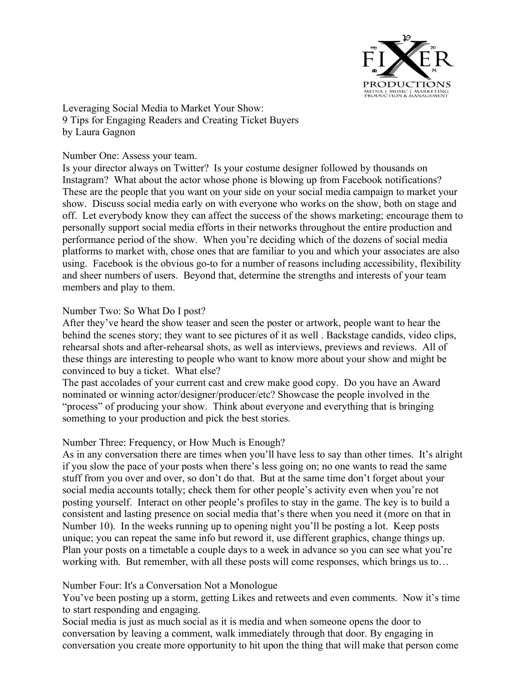

Leveraging Social Media to Market Your Show: 9 Tips for Engaging Readers and Creating Ticket Buyers by Laura Gagnon

## Number One: Assess your team.

Is your director always on Twitter? Is your costume designer followed by thousands on Instagram? What about the actor whose phone is blowing up from Facebook notifications? These are the people that you want on your side on your social media campaign to market your show. Discuss social media early on with everyone who works on the show, both on stage and off. Let everybody know they can affect the success of the shows marketing; encourage them to personally support social media efforts in their networks throughout the entire production and performance period of the show. When you're deciding which of the dozens of social media platforms to market with, chose ones that are familiar to you and which your associates are also using. Facebook is the obvious go-to for a number of reasons including accessibility, flexibility and sheer numbers of users. Beyond that, determine the strengths and interests of your team members and play to them.

## Number Two: So What Do I post?

After they've heard the show teaser and seen the poster or artwork, people want to hear the behind the scenes story; they want to see pictures of it as well . Backstage candids, video clips, rehearsal shots and after-rehearsal shots, as well as interviews, previews and reviews. All of these things are interesting to people who want to know more about your show and might be convinced to buy a ticket. What else?

The past accolades of your current cast and crew make good copy. Do you have an Award nominated or winning actor/designer/producer/etc? Showcase the people involved in the "process" of producing your show. Think about everyone and everything that is bringing something to your production and pick the best stories.

# Number Three: Frequency, or How Much is Enough?

As in any conversation there are times when you'll have less to say than other times. It's alright if you slow the pace of your posts when there's less going on; no one wants to read the same stuff from you over and over, so don't do that. But at the same time don't forget about your social media accounts totally; check them for other people's activity even when you're not posting yourself. Interact on other people's profiles to stay in the game. The key is to build a consistent and lasting presence on social media that's there when you need it (more on that in Number 10). In the weeks running up to opening night you'll be posting a lot. Keep posts unique; you can repeat the same info but reword it, use different graphics, change things up. Plan your posts on a timetable a couple days to a week in advance so you can see what you're working with. But remember, with all these posts will come responses, which brings us to…

## Number Four: It's a Conversation Not a Monologue

You've been posting up a storm, getting Likes and retweets and even comments. Now it's time to start responding and engaging.

Social media is just as much social as it is media and when someone opens the door to conversation by leaving a comment, walk immediately through that door. By engaging in conversation you create more opportunity to hit upon the thing that will make that person come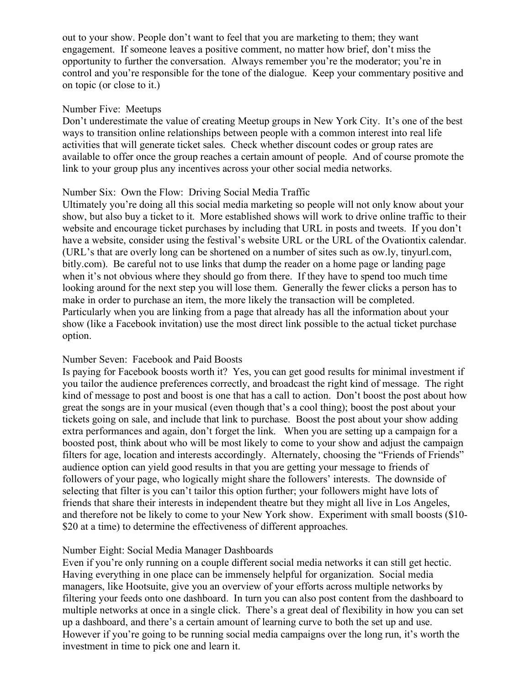out to your show. People don't want to feel that you are marketing to them; they want engagement. If someone leaves a positive comment, no matter how brief, don't miss the opportunity to further the conversation. Always remember you're the moderator; you're in control and you're responsible for the tone of the dialogue. Keep your commentary positive and on topic (or close to it.)

#### Number Five: Meetups

Don't underestimate the value of creating Meetup groups in New York City. It's one of the best ways to transition online relationships between people with a common interest into real life activities that will generate ticket sales. Check whether discount codes or group rates are available to offer once the group reaches a certain amount of people. And of course promote the link to your group plus any incentives across your other social media networks.

#### Number Six: Own the Flow: Driving Social Media Traffic

Ultimately you're doing all this social media marketing so people will not only know about your show, but also buy a ticket to it. More established shows will work to drive online traffic to their website and encourage ticket purchases by including that URL in posts and tweets. If you don't have a website, consider using the festival's website URL or the URL of the Ovationtix calendar. (URL's that are overly long can be shortened on a number of sites such as ow.ly, tinyurl.com, bitly.com). Be careful not to use links that dump the reader on a home page or landing page when it's not obvious where they should go from there. If they have to spend too much time looking around for the next step you will lose them. Generally the fewer clicks a person has to make in order to purchase an item, the more likely the transaction will be completed. Particularly when you are linking from a page that already has all the information about your show (like a Facebook invitation) use the most direct link possible to the actual ticket purchase option.

### Number Seven: Facebook and Paid Boosts

Is paying for Facebook boosts worth it? Yes, you can get good results for minimal investment if you tailor the audience preferences correctly, and broadcast the right kind of message. The right kind of message to post and boost is one that has a call to action. Don't boost the post about how great the songs are in your musical (even though that's a cool thing); boost the post about your tickets going on sale, and include that link to purchase. Boost the post about your show adding extra performances and again, don't forget the link. When you are setting up a campaign for a boosted post, think about who will be most likely to come to your show and adjust the campaign filters for age, location and interests accordingly. Alternately, choosing the "Friends of Friends" audience option can yield good results in that you are getting your message to friends of followers of your page, who logically might share the followers' interests. The downside of selecting that filter is you can't tailor this option further; your followers might have lots of friends that share their interests in independent theatre but they might all live in Los Angeles, and therefore not be likely to come to your New York show. Experiment with small boosts (\$10- \$20 at a time) to determine the effectiveness of different approaches.

#### Number Eight: Social Media Manager Dashboards

Even if you're only running on a couple different social media networks it can still get hectic. Having everything in one place can be immensely helpful for organization. Social media managers, like Hootsuite, give you an overview of your efforts across multiple networks by filtering your feeds onto one dashboard. In turn you can also post content from the dashboard to multiple networks at once in a single click. There's a great deal of flexibility in how you can set up a dashboard, and there's a certain amount of learning curve to both the set up and use. However if you're going to be running social media campaigns over the long run, it's worth the investment in time to pick one and learn it.